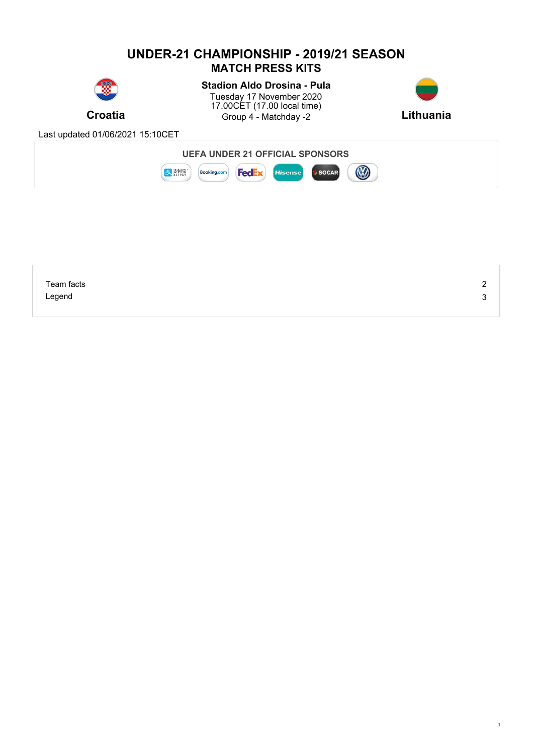### **UNDER-21 CHAMPIONSHIP - 2019/21 SEASON MATCH PRESS KITS Stadion Aldo Drosina - Pula** Tuesday 17 November 2020 17.00CET (17.00 local time) **Croatia** Group 4 - Matchday -2 Lithuania Last updated 01/06/2021 15:10CET **UEFA UNDER 21 OFFICIAL SPONSORS B** まま **Booking.com FedEx** Hisense SOCAR

| Team facts | - |
|------------|---|
| Legend     |   |
|            |   |

1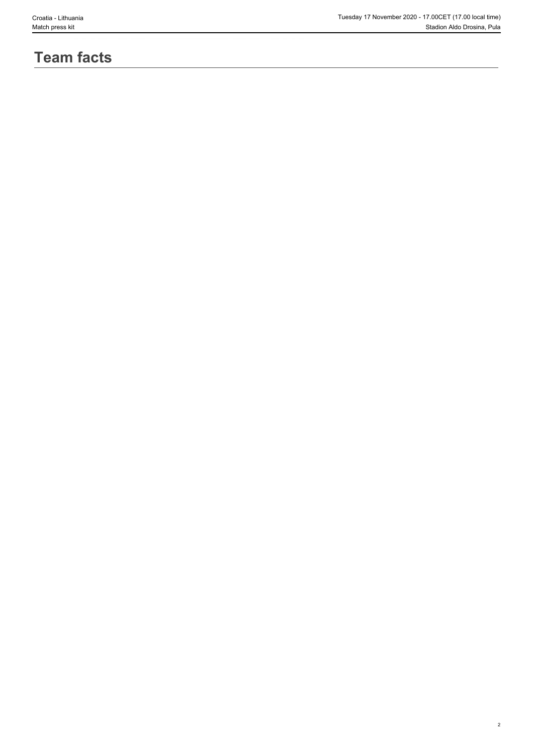2

# **Team facts**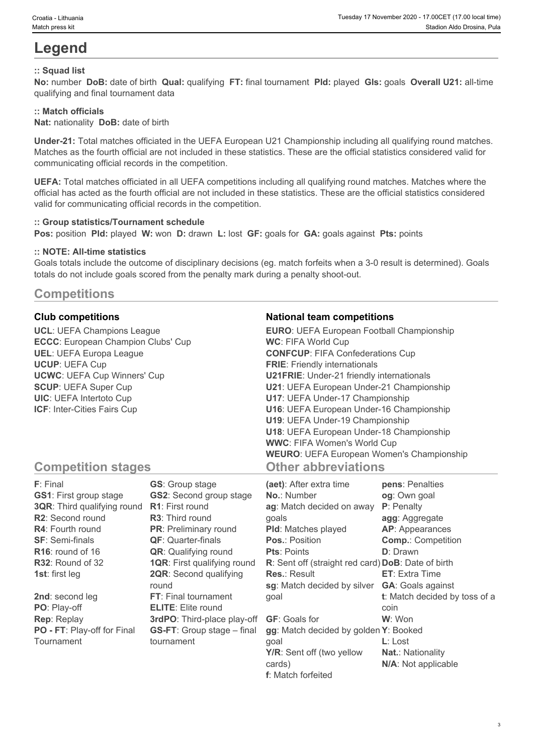## **Legend**

### **:: Squad list**

**No:** number **DoB:** date of birth **Qual:** qualifying **FT:** final tournament **Pld:** played **Gls:** goals **Overall U21:** all-time qualifying and final tournament data

#### **:: Match officials**

**Nat:** nationality **DoB:** date of birth

**Under-21:** Total matches officiated in the UEFA European U21 Championship including all qualifying round matches. Matches as the fourth official are not included in these statistics. These are the official statistics considered valid for communicating official records in the competition.

**UEFA:** Total matches officiated in all UEFA competitions including all qualifying round matches. Matches where the official has acted as the fourth official are not included in these statistics. These are the official statistics considered valid for communicating official records in the competition.

#### **:: Group statistics/Tournament schedule**

**Pos:** position **Pld:** played **W:** won **D:** drawn **L:** lost **GF:** goals for **GA:** goals against **Pts:** points

#### **:: NOTE: All-time statistics**

Goals totals include the outcome of disciplinary decisions (eg. match forfeits when a 3-0 result is determined). Goals totals do not include goals scored from the penalty mark during a penalty shoot-out.

## **Competitions**

**UCL**: UEFA Champions League **ECCC**: European Champion Clubs' Cup **UEL**: UEFA Europa League **UCUP**: UEFA Cup **UCWC**: UEFA Cup Winners' Cup **SCUP**: UEFA Super Cup **UIC**: UEFA Intertoto Cup **ICF**: Inter-Cities Fairs Cup

#### **Club competitions National team competitions**

| <b>EURO:</b> UEFA European Football Championship |  |
|--------------------------------------------------|--|
| <b>WC: FIFA World Cup</b>                        |  |
| <b>CONFCUP: FIFA Confederations Cup</b>          |  |
| <b>FRIE:</b> Friendly internationals             |  |
| <b>U21FRIE:</b> Under-21 friendly internationals |  |
| U21: UEFA European Under-21 Championship         |  |
| U17: UEFA Under-17 Championship                  |  |
| U16: UEFA European Under-16 Championship         |  |
| U19: UEFA Under-19 Championship                  |  |
| U18: UEFA European Under-18 Championship         |  |
| <b>WWC: FIFA Women's World Cup</b>               |  |
| <b>WEURO:</b> UEFA European Women's Championship |  |
| <b>Other abbreviations</b>                       |  |

## **Competition stages**

| F: Final                           | <b>GS:</b> Group stage             | (aet): After extra time                            | pens: Penalties               |
|------------------------------------|------------------------------------|----------------------------------------------------|-------------------------------|
| <b>GS1: First group stage</b>      | <b>GS2:</b> Second group stage     | <b>No.: Number</b>                                 | og: Own goal                  |
| <b>3QR:</b> Third qualifying round | <b>R1:</b> First round             | ag: Match decided on away                          | <b>P</b> : Penalty            |
| R2: Second round                   | <b>R3:</b> Third round             | qoals                                              | agg: Aggregate                |
| <b>R4:</b> Fourth round            | <b>PR:</b> Preliminary round       | <b>PId:</b> Matches played                         | AP: Appearances               |
| <b>SF: Semi-finals</b>             | <b>QF:</b> Quarter-finals          | <b>Pos.: Position</b>                              | <b>Comp.: Competition</b>     |
| $R16$ : round of 16                | <b>QR:</b> Qualifying round        | <b>Pts: Points</b>                                 | <b>D</b> : Drawn              |
| R32: Round of 32                   | <b>1QR: First qualifying round</b> | R: Sent off (straight red card) DoB: Date of birth |                               |
| <b>1st:</b> first leg              | <b>2QR:</b> Second qualifying      | <b>Res.: Result</b>                                | <b>ET:</b> Extra Time         |
|                                    | round                              | sg: Match decided by silver                        | <b>GA:</b> Goals against      |
| 2nd: second leg                    | FT: Final tournament               | qoal                                               | t: Match decided by toss of a |
| PO: Play-off                       | <b>ELITE:</b> Elite round          |                                                    | coin                          |
| <b>Rep: Replay</b>                 | 3rdPO: Third-place play-off        | <b>GF:</b> Goals for                               | W: Won                        |
| PO - FT: Play-off for Final        | <b>GS-FT:</b> Group stage – final  | gg: Match decided by golden Y: Booked              |                               |
| Tournament                         | tournament                         | qoal                                               | $L:$ Lost                     |
|                                    |                                    | Y/R: Sent off (two yellow                          | <b>Nat.: Nationality</b>      |
|                                    |                                    | cards)                                             | N/A: Not applicable           |

**f**: Match forfeited